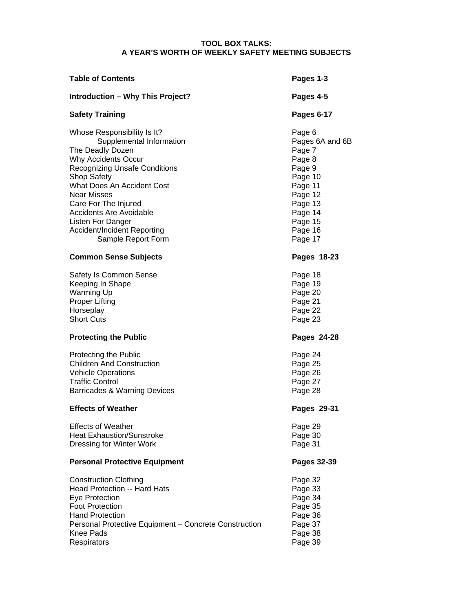## **TOOL BOX TALKS: A YEAR'S WORTH OF WEEKLY SAFETY MEETING SUBJECTS**

| <b>Table of Contents</b>                                                                                                                                                                                                                                                                                                                          | Pages 1-3                                                                                                                                       |
|---------------------------------------------------------------------------------------------------------------------------------------------------------------------------------------------------------------------------------------------------------------------------------------------------------------------------------------------------|-------------------------------------------------------------------------------------------------------------------------------------------------|
| <b>Introduction - Why This Project?</b>                                                                                                                                                                                                                                                                                                           | Pages 4-5                                                                                                                                       |
| <b>Safety Training</b>                                                                                                                                                                                                                                                                                                                            | Pages 6-17                                                                                                                                      |
| Whose Responsibility Is It?<br>Supplemental Information<br>The Deadly Dozen<br>Why Accidents Occur<br><b>Recognizing Unsafe Conditions</b><br>Shop Safety<br>What Does An Accident Cost<br><b>Near Misses</b><br>Care For The Injured<br><b>Accidents Are Avoidable</b><br>Listen For Danger<br>Accident/Incident Reporting<br>Sample Report Form | Page 6<br>Pages 6A and 6B<br>Page 7<br>Page 8<br>Page 9<br>Page 10<br>Page 11<br>Page 12<br>Page 13<br>Page 14<br>Page 15<br>Page 16<br>Page 17 |
| <b>Common Sense Subjects</b>                                                                                                                                                                                                                                                                                                                      | Pages 18-23                                                                                                                                     |
| Safety Is Common Sense<br>Keeping In Shape<br>Warming Up<br><b>Proper Lifting</b><br>Horseplay<br><b>Short Cuts</b>                                                                                                                                                                                                                               | Page 18<br>Page 19<br>Page 20<br>Page 21<br>Page 22<br>Page 23                                                                                  |
| <b>Protecting the Public</b>                                                                                                                                                                                                                                                                                                                      | Pages 24-28                                                                                                                                     |
| Protecting the Public<br><b>Children And Construction</b><br><b>Vehicle Operations</b><br><b>Traffic Control</b><br>Barricades & Warning Devices                                                                                                                                                                                                  | Page 24<br>Page 25<br>Page 26<br>Page 27<br>Page 28                                                                                             |
| <b>Effects of Weather</b>                                                                                                                                                                                                                                                                                                                         | Pages 29-31                                                                                                                                     |
| <b>Effects of Weather</b><br><b>Heat Exhaustion/Sunstroke</b><br>Dressing for Winter Work                                                                                                                                                                                                                                                         | Page 29<br>Page 30<br>Page 31                                                                                                                   |
| <b>Personal Protective Equipment</b>                                                                                                                                                                                                                                                                                                              | Pages 32-39                                                                                                                                     |
| <b>Construction Clothing</b><br>Head Protection -- Hard Hats<br>Eye Protection<br><b>Foot Protection</b><br><b>Hand Protection</b><br>Personal Protective Equipment - Concrete Construction<br><b>Knee Pads</b><br>Respirators                                                                                                                    | Page 32<br>Page 33<br>Page 34<br>Page 35<br>Page 36<br>Page 37<br>Page 38<br>Page 39                                                            |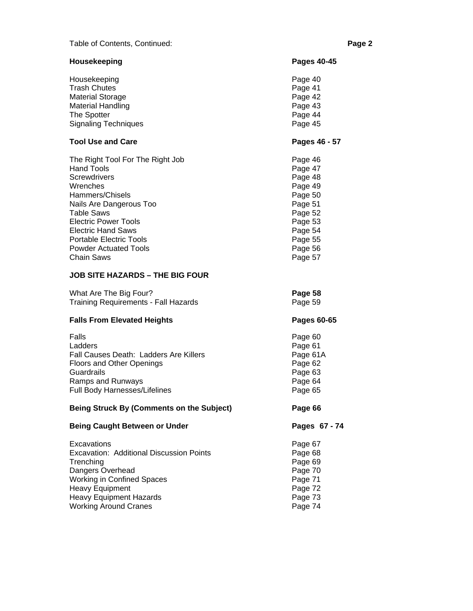# Table of Contents, Continued: **Page 2 Page 2**

| Housekeeping                                     | Pages 40-45   |
|--------------------------------------------------|---------------|
| Housekeeping                                     | Page 40       |
| <b>Trash Chutes</b>                              | Page 41       |
| <b>Material Storage</b>                          | Page 42       |
| <b>Material Handling</b>                         | Page 43       |
| The Spotter                                      | Page 44       |
| <b>Signaling Techniques</b>                      | Page 45       |
| <b>Tool Use and Care</b>                         | Pages 46 - 57 |
| The Right Tool For The Right Job                 | Page 46       |
| <b>Hand Tools</b>                                | Page 47       |
| <b>Screwdrivers</b>                              | Page 48       |
| Wrenches                                         | Page 49       |
| Hammers/Chisels                                  | Page 50       |
| Nails Are Dangerous Too                          | Page 51       |
| <b>Table Saws</b>                                | Page 52       |
| <b>Electric Power Tools</b>                      | Page 53       |
| <b>Electric Hand Saws</b>                        | Page 54       |
| <b>Portable Electric Tools</b>                   | Page 55       |
| <b>Powder Actuated Tools</b>                     | Page 56       |
| <b>Chain Saws</b>                                | Page 57       |
| <b>JOB SITE HAZARDS - THE BIG FOUR</b>           |               |
| What Are The Big Four?                           | Page 58       |
| <b>Training Requirements - Fall Hazards</b>      | Page 59       |
| <b>Falls From Elevated Heights</b>               | Pages 60-65   |
| Falls                                            | Page 60       |
| Ladders                                          | Page 61       |
| Fall Causes Death: Ladders Are Killers           | Page 61A      |
| Floors and Other Openings                        | Page 62       |
| Guardrails                                       | Page 63       |
| Ramps and Runways                                | Page 64       |
| Full Body Harnesses/Lifelines                    | Page 65       |
| <b>Being Struck By (Comments on the Subject)</b> | Page 66       |
| <b>Being Caught Between or Under</b>             | Pages 67 - 74 |
| Excavations                                      | Page 67       |
| Excavation: Additional Discussion Points         | Page 68       |
| Trenching                                        | Page 69       |
| Dangers Overhead                                 | Page 70       |
| <b>Working in Confined Spaces</b>                | Page 71       |
| <b>Heavy Equipment</b>                           | Page 72       |
| <b>Heavy Equipment Hazards</b>                   | Page 73       |
| <b>Working Around Cranes</b>                     | Page 74       |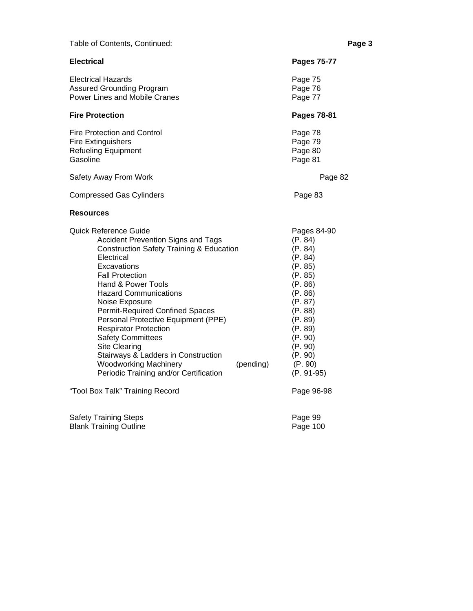| Table of Contents, Continued:                                                                                                                                                                                                                                                                                                                                                                                                                                                                                                                                                           | Page 3                                                                                                                                                                                                         |
|-----------------------------------------------------------------------------------------------------------------------------------------------------------------------------------------------------------------------------------------------------------------------------------------------------------------------------------------------------------------------------------------------------------------------------------------------------------------------------------------------------------------------------------------------------------------------------------------|----------------------------------------------------------------------------------------------------------------------------------------------------------------------------------------------------------------|
| <b>Electrical</b>                                                                                                                                                                                                                                                                                                                                                                                                                                                                                                                                                                       | <b>Pages 75-77</b>                                                                                                                                                                                             |
| <b>Electrical Hazards</b><br><b>Assured Grounding Program</b><br>Power Lines and Mobile Cranes                                                                                                                                                                                                                                                                                                                                                                                                                                                                                          | Page 75<br>Page 76<br>Page 77                                                                                                                                                                                  |
| <b>Fire Protection</b>                                                                                                                                                                                                                                                                                                                                                                                                                                                                                                                                                                  | Pages 78-81                                                                                                                                                                                                    |
| <b>Fire Protection and Control</b><br><b>Fire Extinguishers</b><br><b>Refueling Equipment</b><br>Gasoline                                                                                                                                                                                                                                                                                                                                                                                                                                                                               | Page 78<br>Page 79<br>Page 80<br>Page 81                                                                                                                                                                       |
| Safety Away From Work                                                                                                                                                                                                                                                                                                                                                                                                                                                                                                                                                                   | Page 82                                                                                                                                                                                                        |
| <b>Compressed Gas Cylinders</b>                                                                                                                                                                                                                                                                                                                                                                                                                                                                                                                                                         | Page 83                                                                                                                                                                                                        |
| <b>Resources</b>                                                                                                                                                                                                                                                                                                                                                                                                                                                                                                                                                                        |                                                                                                                                                                                                                |
| Quick Reference Guide<br><b>Accident Prevention Signs and Tags</b><br><b>Construction Safety Training &amp; Education</b><br>Electrical<br>Excavations<br><b>Fall Protection</b><br>Hand & Power Tools<br><b>Hazard Communications</b><br>Noise Exposure<br><b>Permit-Required Confined Spaces</b><br>Personal Protective Equipment (PPE)<br><b>Respirator Protection</b><br><b>Safety Committees</b><br>Site Clearing<br>Stairways & Ladders in Construction<br><b>Woodworking Machinery</b><br>(pending)<br>Periodic Training and/or Certification<br>"Tool Box Talk" Training Record | Pages 84-90<br>(P. 84)<br>(P. 84)<br>(P. 84)<br>(P. 85)<br>(P. 85)<br>(P. 86)<br>(P. 86)<br>(P. 87)<br>(P. 88)<br>(P. 89)<br>(P. 89)<br>(P. 90)<br>(P. 90)<br>(P. 90)<br>(P. 90)<br>$(P. 91-95)$<br>Page 96-98 |
| <b>Safety Training Steps</b><br><b>Blank Training Outline</b>                                                                                                                                                                                                                                                                                                                                                                                                                                                                                                                           | Page 99<br>Page 100                                                                                                                                                                                            |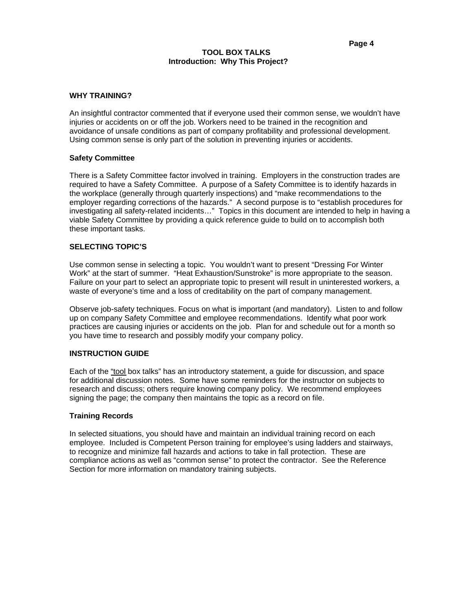#### **TOOL BOX TALKS Introduction: Why This Project?**

#### **WHY TRAINING?**

An insightful contractor commented that if everyone used their common sense, we wouldn't have injuries or accidents on or off the job. Workers need to be trained in the recognition and avoidance of unsafe conditions as part of company profitability and professional development. Using common sense is only part of the solution in preventing injuries or accidents.

#### **Safety Committee**

There is a Safety Committee factor involved in training. Employers in the construction trades are required to have a Safety Committee. A purpose of a Safety Committee is to identify hazards in the workplace (generally through quarterly inspections) and "make recommendations to the employer regarding corrections of the hazards." A second purpose is to "establish procedures for investigating all safety-related incidents…" Topics in this document are intended to help in having a viable Safety Committee by providing a quick reference guide to build on to accomplish both these important tasks.

#### **SELECTING TOPIC'S**

Use common sense in selecting a topic. You wouldn't want to present "Dressing For Winter Work" at the start of summer. "Heat Exhaustion/Sunstroke" is more appropriate to the season. Failure on your part to select an appropriate topic to present will result in uninterested workers, a waste of everyone's time and a loss of creditability on the part of company management.

Observe job-safety techniques. Focus on what is important (and mandatory). Listen to and follow up on company Safety Committee and employee recommendations. Identify what poor work practices are causing injuries or accidents on the job. Plan for and schedule out for a month so you have time to research and possibly modify your company policy.

## **INSTRUCTION GUIDE**

Each of the "tool box talks" has an introductory statement, a guide for discussion, and space for additional discussion notes. Some have some reminders for the instructor on subjects to research and discuss; others require knowing company policy. We recommend employees signing the page; the company then maintains the topic as a record on file.

## **Training Records**

In selected situations, you should have and maintain an individual training record on each employee. Included is Competent Person training for employee's using ladders and stairways, to recognize and minimize fall hazards and actions to take in fall protection. These are compliance actions as well as "common sense" to protect the contractor. See the Reference Section for more information on mandatory training subjects.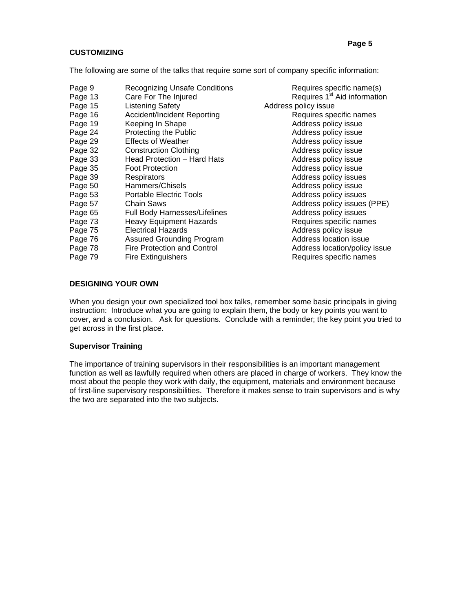## **CUSTOMIZING**

The following are some of the talks that require some sort of company specific information:

Page 9 Recognizing Unsafe Conditions Requires specific name(s) Page 13 Care For The Injured Requires 1<sup>st</sup> Aid information Page 15 Listening Safety<br>
Page 16 Accident/Incident Reporting Mateur Requires specific names Accident/Incident Reporting Page 19 Keeping In Shape **Address policy issue** Address policy issue Page 24 Protecting the Public **Protection Control Control Control** Address policy issue<br>
Page 29 Effects of Weather **Address policy** issue Page 29 Effects of Weather **Address policy issue** Address policy issue Page 32 Construction Clothing **Address policy issue** Address policy issue Page 33 Head Protection – Hard Hats **Address policy issue** Page 35 Foot Protection **Follow Address policy issue** Page 39 Respirators **Respirators** Address policy issues Page 50 Hammers/Chisels Address policy issue<br>Page 53 Portable Electric Tools Address policy issues Page 53 Portable Electric Tools **Provide Address policy issues** Page 57 Chain Saws **Chain Saws** Address policy issues (PPE) Page 65 Full Body Harnesses/Lifelines **Address policy issues** Address policy issues Page 73 Heavy Equipment Hazards **Requires** Specific names Page 75 Electrical Hazards **Access Address policy issue** Page 76 Assured Grounding Program Address location issue Page 78 Fire Protection and Control **Firm Address Incation/policy issue** Page 79 Fire Extinguishers **Requires** Requires specific names

## **DESIGNING YOUR OWN**

When you design your own specialized tool box talks, remember some basic principals in giving instruction: Introduce what you are going to explain them, the body or key points you want to cover, and a conclusion. Ask for questions. Conclude with a reminder; the key point you tried to get across in the first place.

## **Supervisor Training**

The importance of training supervisors in their responsibilities is an important management function as well as lawfully required when others are placed in charge of workers. They know the most about the people they work with daily, the equipment, materials and environment because of first-line supervisory responsibilities. Therefore it makes sense to train supervisors and is why the two are separated into the two subjects.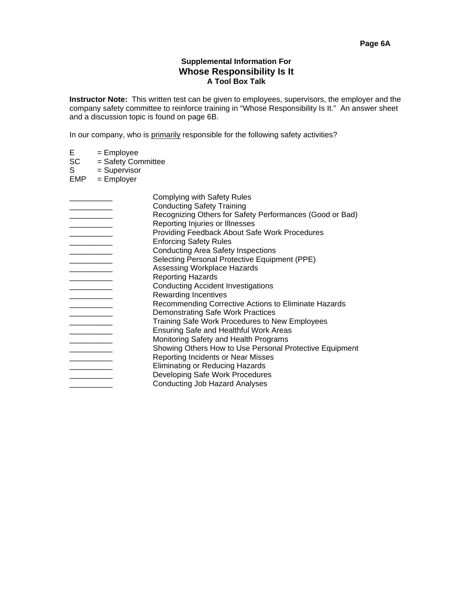## **Supplemental Information For Whose Responsibility Is It A Tool Box Talk**

**Instructor Note:** This written test can be given to employees, supervisors, the employer and the company safety committee to reinforce training in "Whose Responsibility Is It." An answer sheet and a discussion topic is found on page 6B.

In our company, who is primarily responsible for the following safety activities?

- 
- $E$  = Employee<br>SC = Safety Con  $SC = Safety Committee  
\nS = Supervisor$
- $=$  Supervisor
- $EMP = Employer$

| Complying with Safety Rules                              |
|----------------------------------------------------------|
| <b>Conducting Safety Training</b>                        |
| Recognizing Others for Safety Performances (Good or Bad) |
| Reporting Injuries or Illnesses                          |
| Providing Feedback About Safe Work Procedures            |
| <b>Enforcing Safety Rules</b>                            |
| <b>Conducting Area Safety Inspections</b>                |
| Selecting Personal Protective Equipment (PPE)            |
| Assessing Workplace Hazards                              |
| <b>Reporting Hazards</b>                                 |
| <b>Conducting Accident Investigations</b>                |
| <b>Rewarding Incentives</b>                              |
| Recommending Corrective Actions to Eliminate Hazards     |
| <b>Demonstrating Safe Work Practices</b>                 |
| Training Safe Work Procedures to New Employees           |
| Ensuring Safe and Healthful Work Areas                   |
| Monitoring Safety and Health Programs                    |
| Showing Others How to Use Personal Protective Equipment  |
| Reporting Incidents or Near Misses                       |
| Eliminating or Reducing Hazards                          |
| Developing Safe Work Procedures                          |
| <b>Conducting Job Hazard Analyses</b>                    |
|                                                          |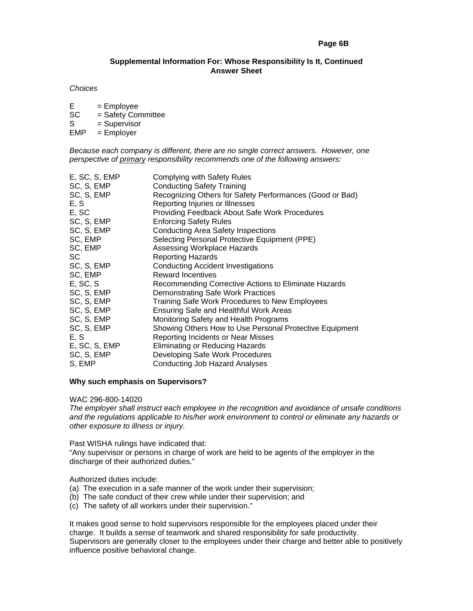## **Page 6B**

## **Supplemental Information For: Whose Responsibility Is It, Continued Answer Sheet**

#### *Choices*

- $E = Employee$ <br>  $SC = Safetv Cor$
- $=$  Safety Committee
- S = Supervisor<br>EMP = Emplover
- $=$  Employer

*Because each company is different, there are no single correct answers. However, one perspective of primary responsibility recommends one of the following answers:* 

| E, SC, S, EMP | <b>Complying with Safety Rules</b>                       |
|---------------|----------------------------------------------------------|
| SC, S, EMP    | <b>Conducting Safety Training</b>                        |
| SC, S, EMP    | Recognizing Others for Safety Performances (Good or Bad) |
| E, S          | Reporting Injuries or Illnesses                          |
| E, SC         | Providing Feedback About Safe Work Procedures            |
| SC, S, EMP    | <b>Enforcing Safety Rules</b>                            |
| SC, S, EMP    | <b>Conducting Area Safety Inspections</b>                |
| SC, EMP       | Selecting Personal Protective Equipment (PPE)            |
| SC, EMP       | Assessing Workplace Hazards                              |
| SC            | <b>Reporting Hazards</b>                                 |
| SC, S, EMP    | <b>Conducting Accident Investigations</b>                |
| SC, EMP       | <b>Reward Incentives</b>                                 |
| E, SC, S      | Recommending Corrective Actions to Eliminate Hazards     |
| SC, S, EMP    | <b>Demonstrating Safe Work Practices</b>                 |
| SC, S, EMP    | Training Safe Work Procedures to New Employees           |
| SC, S, EMP    | <b>Ensuring Safe and Healthful Work Areas</b>            |
| SC, S, EMP    | Monitoring Safety and Health Programs                    |
| SC, S, EMP    | Showing Others How to Use Personal Protective Equipment  |
| E, S          | Reporting Incidents or Near Misses                       |
| E, SC, S, EMP | Eliminating or Reducing Hazards                          |
| SC, S, EMP    | Developing Safe Work Procedures                          |
| S, EMP        | Conducting Job Hazard Analyses                           |
|               |                                                          |

## **Why such emphasis on Supervisors?**

WAC 296-800-14020

*The employer shall instruct each employee in the recognition and avoidance of unsafe conditions and the regulations applicable to his/her work environment to control or eliminate any hazards or other exposure to illness or injury.* 

Past WISHA rulings have indicated that:

"Any supervisor or persons in charge of work are held to be agents of the employer in the discharge of their authorized duties."

Authorized duties include:

- (a) The execution in a safe manner of the work under their supervision;
- (b) The safe conduct of their crew while under their supervision; and
- (c) The safety of all workers under their supervision."

It makes good sense to hold supervisors responsible for the employees placed under their charge. It builds a sense of teamwork and shared responsibility for safe productivity. Supervisors are generally closer to the employees under their charge and better able to positively influence positive behavioral change.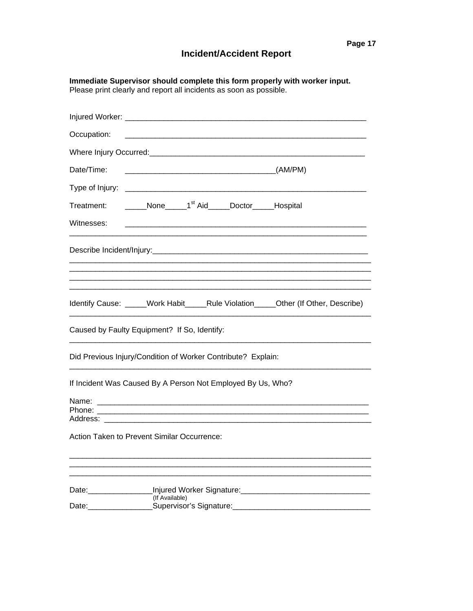|                                                                                                                                                                                                                                                           | Immediate Supervisor should complete this form properly with worker input.<br>Please print clearly and report all incidents as soon as possible. |
|-----------------------------------------------------------------------------------------------------------------------------------------------------------------------------------------------------------------------------------------------------------|--------------------------------------------------------------------------------------------------------------------------------------------------|
|                                                                                                                                                                                                                                                           |                                                                                                                                                  |
| Occupation:                                                                                                                                                                                                                                               |                                                                                                                                                  |
|                                                                                                                                                                                                                                                           |                                                                                                                                                  |
| Date/Time:                                                                                                                                                                                                                                                |                                                                                                                                                  |
|                                                                                                                                                                                                                                                           |                                                                                                                                                  |
| Treatment:                                                                                                                                                                                                                                                | None 1 <sup>st</sup> Aid Doctor Hospital                                                                                                         |
| Witnesses:                                                                                                                                                                                                                                                |                                                                                                                                                  |
|                                                                                                                                                                                                                                                           |                                                                                                                                                  |
|                                                                                                                                                                                                                                                           |                                                                                                                                                  |
|                                                                                                                                                                                                                                                           | Identify Cause: _____Work Habit_____Rule Violation______Other (If Other, Describe)                                                               |
|                                                                                                                                                                                                                                                           | Caused by Faulty Equipment? If So, Identify:                                                                                                     |
|                                                                                                                                                                                                                                                           | Did Previous Injury/Condition of Worker Contribute? Explain:                                                                                     |
|                                                                                                                                                                                                                                                           | If Incident Was Caused By A Person Not Employed By Us, Who?                                                                                      |
| Name:<br>Phone:<br>Address:                                                                                                                                                                                                                               |                                                                                                                                                  |
|                                                                                                                                                                                                                                                           | Action Taken to Prevent Similar Occurrence:                                                                                                      |
|                                                                                                                                                                                                                                                           |                                                                                                                                                  |
| Date:__________________<br>Date: the contract of the contract of the contract of the contract of the contract of the contract of the contract of the contract of the contract of the contract of the contract of the contract of the contract of the cont | (If Available)                                                                                                                                   |
|                                                                                                                                                                                                                                                           |                                                                                                                                                  |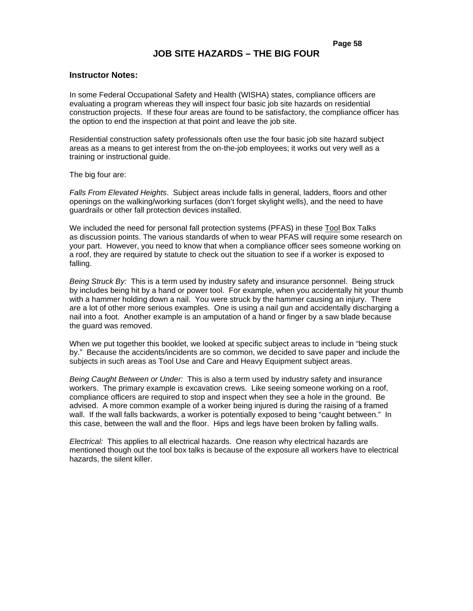# **JOB SITE HAZARDS – THE BIG FOUR**

### **Instructor Notes:**

In some Federal Occupational Safety and Health (WISHA) states, compliance officers are evaluating a program whereas they will inspect four basic job site hazards on residential construction projects. If these four areas are found to be satisfactory, the compliance officer has the option to end the inspection at that point and leave the job site.

Residential construction safety professionals often use the four basic job site hazard subject areas as a means to get interest from the on-the-job employees; it works out very well as a training or instructional guide.

The big four are:

*Falls From Elevated Heights*. Subject areas include falls in general, ladders, floors and other openings on the walking/working surfaces (don't forget skylight wells), and the need to have guardrails or other fall protection devices installed.

We included the need for personal fall protection systems (PFAS) in these Tool Box Talks as discussion points. The various standards of when to wear PFAS will require some research on your part. However, you need to know that when a compliance officer sees someone working on a roof, they are required by statute to check out the situation to see if a worker is exposed to falling.

*Being Struck By:* This is a term used by industry safety and insurance personnel. Being struck by includes being hit by a hand or power tool. For example, when you accidentally hit your thumb with a hammer holding down a nail. You were struck by the hammer causing an injury. There are a lot of other more serious examples. One is using a nail gun and accidentally discharging a nail into a foot. Another example is an amputation of a hand or finger by a saw blade because the guard was removed.

When we put together this booklet, we looked at specific subject areas to include in "being stuck by." Because the accidents/incidents are so common, we decided to save paper and include the subjects in such areas as Tool Use and Care and Heavy Equipment subject areas.

*Being Caught Between or Under:* This is also a term used by industry safety and insurance workers. The primary example is excavation crews. Like seeing someone working on a roof, compliance officers are required to stop and inspect when they see a hole in the ground. Be advised. A more common example of a worker being injured is during the raising of a framed wall. If the wall falls backwards, a worker is potentially exposed to being "caught between." In this case, between the wall and the floor. Hips and legs have been broken by falling walls.

*Electrical:* This applies to all electrical hazards. One reason why electrical hazards are mentioned though out the tool box talks is because of the exposure all workers have to electrical hazards, the silent killer.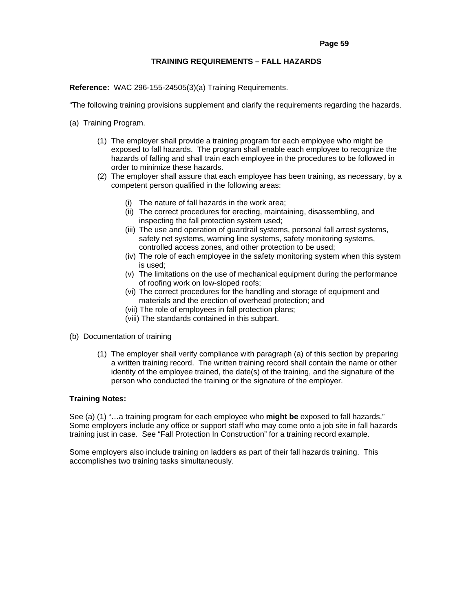### **TRAINING REQUIREMENTS – FALL HAZARDS**

**Reference:** WAC 296-155-24505(3)(a) Training Requirements.

"The following training provisions supplement and clarify the requirements regarding the hazards.

- (a) Training Program.
	- (1) The employer shall provide a training program for each employee who might be exposed to fall hazards. The program shall enable each employee to recognize the hazards of falling and shall train each employee in the procedures to be followed in order to minimize these hazards.
	- (2) The employer shall assure that each employee has been training, as necessary, by a competent person qualified in the following areas:
		- (i) The nature of fall hazards in the work area;
		- (ii) The correct procedures for erecting, maintaining, disassembling, and inspecting the fall protection system used;
		- (iii) The use and operation of guardrail systems, personal fall arrest systems, safety net systems, warning line systems, safety monitoring systems, controlled access zones, and other protection to be used;
		- (iv) The role of each employee in the safety monitoring system when this system is used;
		- (v) The limitations on the use of mechanical equipment during the performance of roofing work on low-sloped roofs;
		- (vi) The correct procedures for the handling and storage of equipment and materials and the erection of overhead protection; and
		- (vii) The role of employees in fall protection plans;
		- (viii) The standards contained in this subpart.
- (b) Documentation of training
	- (1) The employer shall verify compliance with paragraph (a) of this section by preparing a written training record. The written training record shall contain the name or other identity of the employee trained, the date(s) of the training, and the signature of the person who conducted the training or the signature of the employer.

### **Training Notes:**

See (a) (1) "…a training program for each employee who **might be** exposed to fall hazards." Some employers include any office or support staff who may come onto a job site in fall hazards training just in case. See "Fall Protection In Construction" for a training record example.

Some employers also include training on ladders as part of their fall hazards training. This accomplishes two training tasks simultaneously.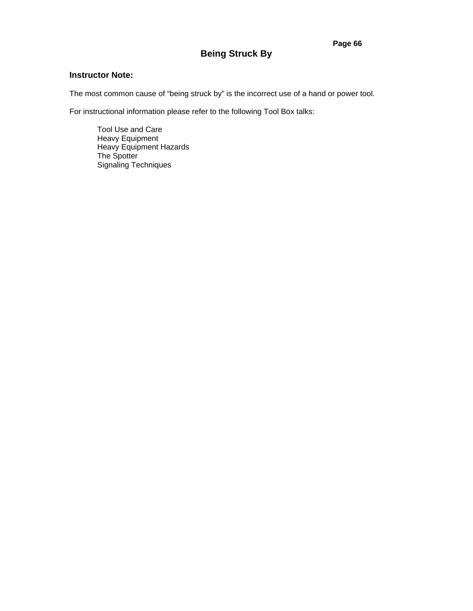# **Being Struck By**

# **Instructor Note:**

The most common cause of "being struck by" is the incorrect use of a hand or power tool.

For instructional information please refer to the following Tool Box talks:

Tool Use and Care Heavy Equipment Heavy Equipment Hazards The Spotter Signaling Techniques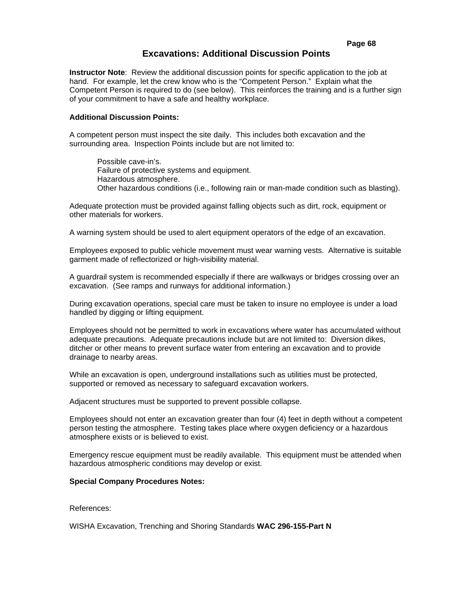## **Page 68**

# **Excavations: Additional Discussion Points**

**Instructor Note**: Review the additional discussion points for specific application to the job at hand. For example, let the crew know who is the "Competent Person." Explain what the Competent Person is required to do (see below). This reinforces the training and is a further sign of your commitment to have a safe and healthy workplace.

#### **Additional Discussion Points:**

A competent person must inspect the site daily. This includes both excavation and the surrounding area. Inspection Points include but are not limited to:

 Possible cave-in's. Failure of protective systems and equipment. Hazardous atmosphere. Other hazardous conditions (i.e., following rain or man-made condition such as blasting).

Adequate protection must be provided against falling objects such as dirt, rock, equipment or other materials for workers.

A warning system should be used to alert equipment operators of the edge of an excavation.

Employees exposed to public vehicle movement must wear warning vests. Alternative is suitable garment made of reflectorized or high-visibility material.

A guardrail system is recommended especially if there are walkways or bridges crossing over an excavation. (See ramps and runways for additional information.)

During excavation operations, special care must be taken to insure no employee is under a load handled by digging or lifting equipment.

Employees should not be permitted to work in excavations where water has accumulated without adequate precautions. Adequate precautions include but are not limited to: Diversion dikes, ditcher or other means to prevent surface water from entering an excavation and to provide drainage to nearby areas.

While an excavation is open, underground installations such as utilities must be protected. supported or removed as necessary to safeguard excavation workers.

Adjacent structures must be supported to prevent possible collapse.

Employees should not enter an excavation greater than four (4) feet in depth without a competent person testing the atmosphere. Testing takes place where oxygen deficiency or a hazardous atmosphere exists or is believed to exist.

Emergency rescue equipment must be readily available. This equipment must be attended when hazardous atmospheric conditions may develop or exist.

#### **Special Company Procedures Notes:**

References:

WISHA Excavation, Trenching and Shoring Standards **WAC 296-155-Part N**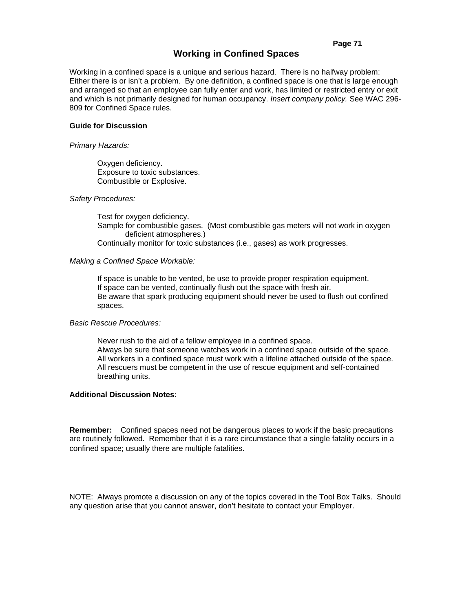# **Working in Confined Spaces**

Working in a confined space is a unique and serious hazard. There is no halfway problem: Either there is or isn't a problem. By one definition, a confined space is one that is large enough and arranged so that an employee can fully enter and work, has limited or restricted entry or exit and which is not primarily designed for human occupancy. *Insert company policy.* See WAC 296- 809 for Confined Space rules.

#### **Guide for Discussion**

#### *Primary Hazards:*

 Oxygen deficiency. Exposure to toxic substances. Combustible or Explosive.

#### *Safety Procedures:*

Test for oxygen deficiency. Sample for combustible gases. (Most combustible gas meters will not work in oxygen deficient atmospheres.) Continually monitor for toxic substances (i.e., gases) as work progresses.

#### *Making a Confined Space Workable:*

If space is unable to be vented, be use to provide proper respiration equipment. If space can be vented, continually flush out the space with fresh air. Be aware that spark producing equipment should never be used to flush out confined spaces.

#### *Basic Rescue Procedures:*

Never rush to the aid of a fellow employee in a confined space. Always be sure that someone watches work in a confined space outside of the space. All workers in a confined space must work with a lifeline attached outside of the space. All rescuers must be competent in the use of rescue equipment and self-contained breathing units.

# **Additional Discussion Notes:**

**Remember:** Confined spaces need not be dangerous places to work if the basic precautions are routinely followed. Remember that it is a rare circumstance that a single fatality occurs in a confined space; usually there are multiple fatalities.

#### **\$WWHQGHHV**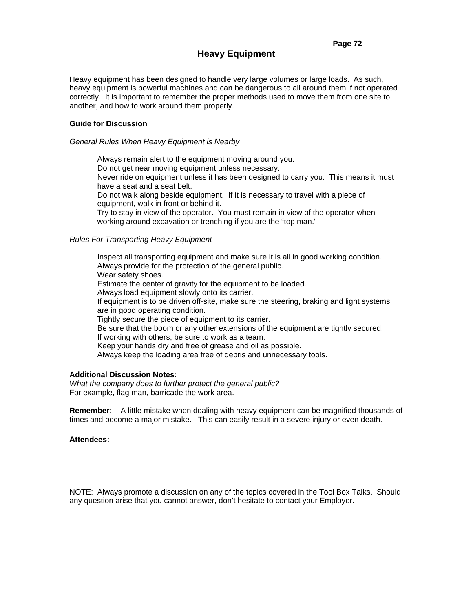# **Heavy Equipment**

Heavy equipment has been designed to handle very large volumes or large loads. As such, heavy equipment is powerful machines and can be dangerous to all around them if not operated correctly. It is important to remember the proper methods used to move them from one site to another, and how to work around them properly.

# **Guide for Discussion**

*General Rules When Heavy Equipment is Nearby* 

Always remain alert to the equipment moving around you. Do not get near moving equipment unless necessary. Never ride on equipment unless it has been designed to carry you. This means it must have a seat and a seat belt. Do not walk along beside equipment. If it is necessary to travel with a piece of equipment, walk in front or behind it. Try to stay in view of the operator. You must remain in view of the operator when

working around excavation or trenching if you are the "top man."

# *Rules For Transporting Heavy Equipment*

Inspect all transporting equipment and make sure it is all in good working condition. Always provide for the protection of the general public. Wear safety shoes. Estimate the center of gravity for the equipment to be loaded. Always load equipment slowly onto its carrier. If equipment is to be driven off-site, make sure the steering, braking and light systems are in good operating condition. Tightly secure the piece of equipment to its carrier. Be sure that the boom or any other extensions of the equipment are tightly secured. If working with others, be sure to work as a team. Keep your hands dry and free of grease and oil as possible. Always keep the loading area free of debris and unnecessary tools.

#### **Additional Discussion Notes:**

*What the company does to further protect the general public?*  For example, flag man, barricade the work area.

**Remember:** A little mistake when dealing with heavy equipment can be magnified thousands of times and become a major mistake. This can easily result in a severe injury or even death.

#### **Attendees:**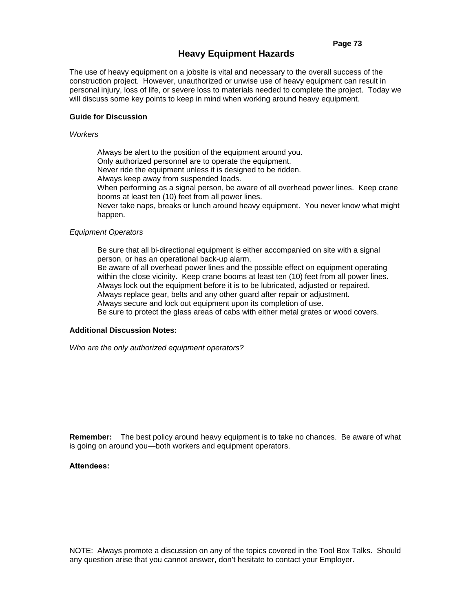# **Heavy Equipment Hazards**

The use of heavy equipment on a jobsite is vital and necessary to the overall success of the construction project. However, unauthorized or unwise use of heavy equipment can result in personal injury, loss of life, or severe loss to materials needed to complete the project. Today we will discuss some key points to keep in mind when working around heavy equipment.

# **Guide for Discussion**

#### *Workers*

Always be alert to the position of the equipment around you. Only authorized personnel are to operate the equipment. Never ride the equipment unless it is designed to be ridden. Always keep away from suspended loads. When performing as a signal person, be aware of all overhead power lines. Keep crane booms at least ten (10) feet from all power lines. Never take naps, breaks or lunch around heavy equipment. You never know what might happen.

# *Equipment Operators*

Be sure that all bi-directional equipment is either accompanied on site with a signal person, or has an operational back-up alarm.

Be aware of all overhead power lines and the possible effect on equipment operating within the close vicinity. Keep crane booms at least ten (10) feet from all power lines. Always lock out the equipment before it is to be lubricated, adjusted or repaired. Always replace gear, belts and any other guard after repair or adjustment.

Always secure and lock out equipment upon its completion of use.

Be sure to protect the glass areas of cabs with either metal grates or wood covers.

# **Additional Discussion Notes:**

*Who are the only authorized equipment operators?* 

**Remember:** The best policy around heavy equipment is to take no chances. Be aware of what is going on around you—both workers and equipment operators.

#### **Attendees:**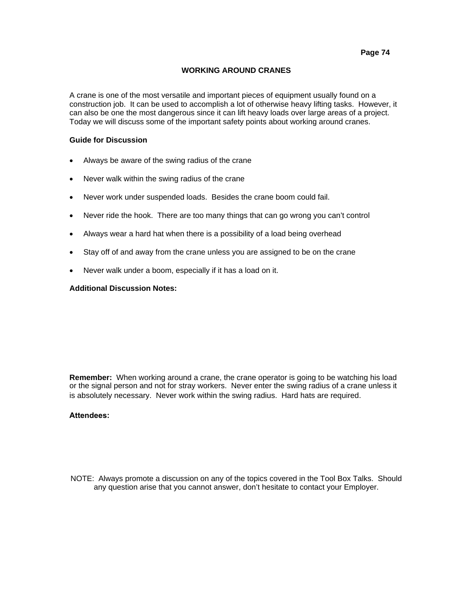# **WORKING AROUND CRANES**

A crane is one of the most versatile and important pieces of equipment usually found on a construction job. It can be used to accomplish a lot of otherwise heavy lifting tasks. However, it can also be one the most dangerous since it can lift heavy loads over large areas of a project. Today we will discuss some of the important safety points about working around cranes.

# **Guide for Discussion**

- Always be aware of the swing radius of the crane
- Never walk within the swing radius of the crane
- Never work under suspended loads. Besides the crane boom could fail.
- Never ride the hook. There are too many things that can go wrong you can't control
- Always wear a hard hat when there is a possibility of a load being overhead
- Stay off of and away from the crane unless you are assigned to be on the crane
- Never walk under a boom, especially if it has a load on it.

### **Additional Discussion Notes:**

**Remember:** When working around a crane, the crane operator is going to be watching his load or the signal person and not for stray workers. Never enter the swing radius of a crane unless it is absolutely necessary. Never work within the swing radius. Hard hats are required.

#### **Attendees:**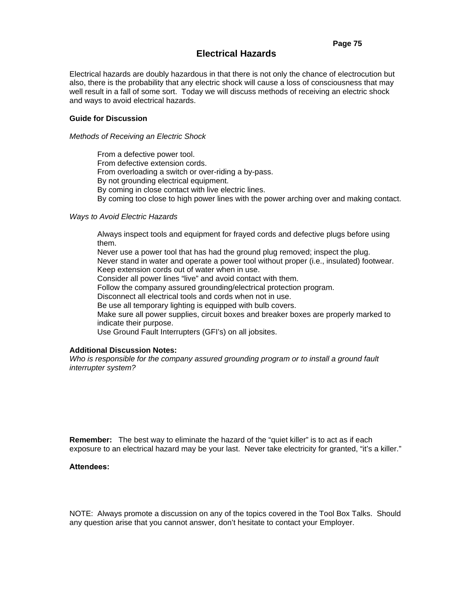# **Electrical Hazards**

Electrical hazards are doubly hazardous in that there is not only the chance of electrocution but also, there is the probability that any electric shock will cause a loss of consciousness that may well result in a fall of some sort. Today we will discuss methods of receiving an electric shock and ways to avoid electrical hazards.

# **Guide for Discussion**

#### *Methods of Receiving an Electric Shock*

From a defective power tool. From defective extension cords. From overloading a switch or over-riding a by-pass. By not grounding electrical equipment. By coming in close contact with live electric lines. By coming too close to high power lines with the power arching over and making contact.

#### *Ways to Avoid Electric Hazards*

Always inspect tools and equipment for frayed cords and defective plugs before using them.

Never use a power tool that has had the ground plug removed; inspect the plug. Never stand in water and operate a power tool without proper (i.e., insulated) footwear. Keep extension cords out of water when in use. Consider all power lines "live" and avoid contact with them. Follow the company assured grounding/electrical protection program. Disconnect all electrical tools and cords when not in use.

Be use all temporary lighting is equipped with bulb covers.

Make sure all power supplies, circuit boxes and breaker boxes are properly marked to indicate their purpose.

Use Ground Fault Interrupters (GFI's) on all jobsites.

# **Additional Discussion Notes:**

*Who is responsible for the company assured grounding program or to install a ground fault interrupter system?* 

**Remember:** The best way to eliminate the hazard of the "quiet killer" is to act as if each exposure to an electrical hazard may be your last. Never take electricity for granted, "it's a killer."

**Attendees:**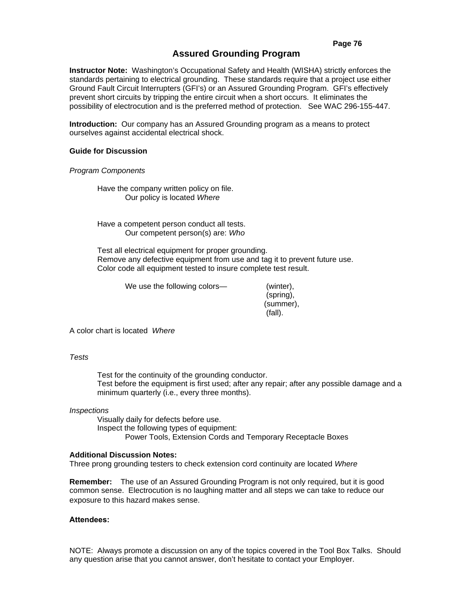# **Assured Grounding Program**

**Instructor Note:** Washington's Occupational Safety and Health (WISHA) strictly enforces the standards pertaining to electrical grounding. These standards require that a project use either Ground Fault Circuit Interrupters (GFI's) or an Assured Grounding Program. GFI's effectively prevent short circuits by tripping the entire circuit when a short occurs. It eliminates the possibility of electrocution and is the preferred method of protection. See WAC 296-155-447.

**Introduction:** Our company has an Assured Grounding program as a means to protect ourselves against accidental electrical shock.

#### **Guide for Discussion**

*Program Components* 

Have the company written policy on file. Our policy is located *Where* 

Have a competent person conduct all tests. Our competent person(s) are: *Who* 

Test all electrical equipment for proper grounding. Remove any defective equipment from use and tag it to prevent future use. Color code all equipment tested to insure complete test result.

We use the following colors— (winter),

 (spring), (summer), (fall).

A color chart is located *Where*

*Tests* 

Test for the continuity of the grounding conductor. Test before the equipment is first used; after any repair; after any possible damage and a minimum quarterly (i.e., every three months).

# *Inspections*

Visually daily for defects before use. Inspect the following types of equipment: Power Tools, Extension Cords and Temporary Receptacle Boxes

#### **Additional Discussion Notes:**

Three prong grounding testers to check extension cord continuity are located *Where*

**Remember:** The use of an Assured Grounding Program is not only required, but it is good common sense. Electrocution is no laughing matter and all steps we can take to reduce our exposure to this hazard makes sense.

# **Attendees:**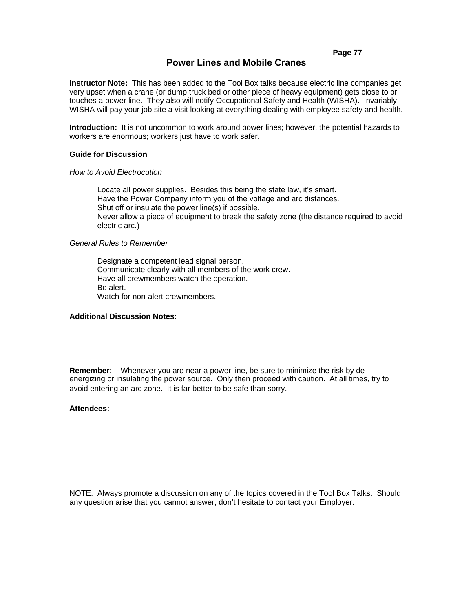**Page 77**

# **Power Lines and Mobile Cranes**

**Instructor Note:** This has been added to the Tool Box talks because electric line companies get very upset when a crane (or dump truck bed or other piece of heavy equipment) gets close to or touches a power line. They also will notify Occupational Safety and Health (WISHA). Invariably WISHA will pay your job site a visit looking at everything dealing with employee safety and health.

**Introduction:** It is not uncommon to work around power lines; however, the potential hazards to workers are enormous; workers just have to work safer.

#### **Guide for Discussion**

#### *How to Avoid Electrocution*

Locate all power supplies. Besides this being the state law, it's smart. Have the Power Company inform you of the voltage and arc distances. Shut off or insulate the power line(s) if possible. Never allow a piece of equipment to break the safety zone (the distance required to avoid electric arc.)

### *General Rules to Remember*

Designate a competent lead signal person. Communicate clearly with all members of the work crew. Have all crewmembers watch the operation. Be alert. Watch for non-alert crewmembers.

# **Additional Discussion Notes:**

**Remember:** Whenever you are near a power line, be sure to minimize the risk by deenergizing or insulating the power source. Only then proceed with caution. At all times, try to avoid entering an arc zone. It is far better to be safe than sorry.

### **Attendees:**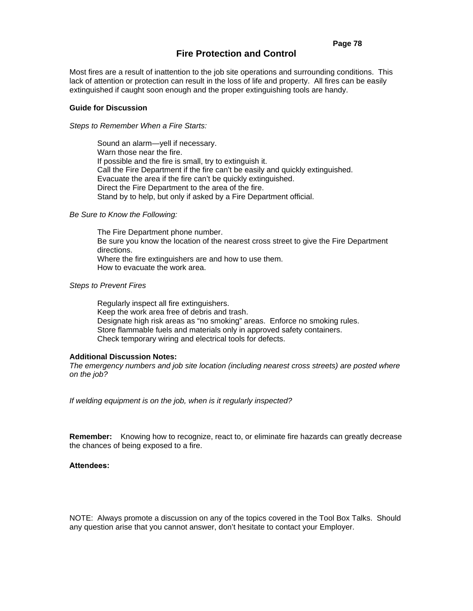# **Fire Protection and Control**

Most fires are a result of inattention to the job site operations and surrounding conditions. This lack of attention or protection can result in the loss of life and property. All fires can be easily extinguished if caught soon enough and the proper extinguishing tools are handy.

#### **Guide for Discussion**

#### *Steps to Remember When a Fire Starts:*

Sound an alarm—yell if necessary. Warn those near the fire. If possible and the fire is small, try to extinguish it. Call the Fire Department if the fire can't be easily and quickly extinguished. Evacuate the area if the fire can't be quickly extinguished. Direct the Fire Department to the area of the fire. Stand by to help, but only if asked by a Fire Department official.

#### *Be Sure to Know the Following:*

The Fire Department phone number. Be sure you know the location of the nearest cross street to give the Fire Department directions. Where the fire extinguishers are and how to use them. How to evacuate the work area.

#### *Steps to Prevent Fires*

Regularly inspect all fire extinguishers. Keep the work area free of debris and trash. Designate high risk areas as "no smoking" areas. Enforce no smoking rules. Store flammable fuels and materials only in approved safety containers. Check temporary wiring and electrical tools for defects.

#### **Additional Discussion Notes:**

*The emergency numbers and job site location (including nearest cross streets) are posted where on the job?* 

*If welding equipment is on the job, when is it regularly inspected?* 

**Remember:** Knowing how to recognize, react to, or eliminate fire hazards can greatly decrease the chances of being exposed to a fire.

#### **Attendees:**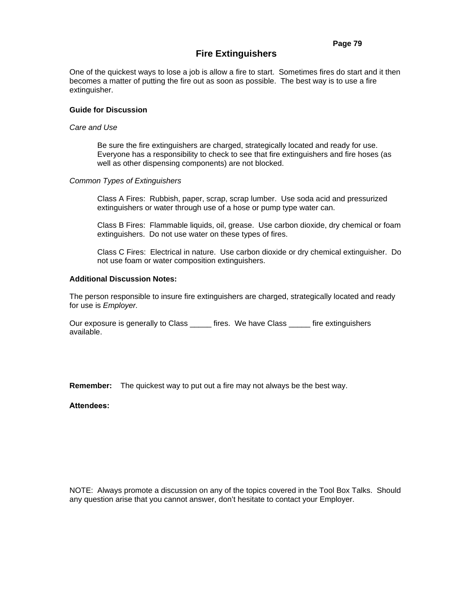# **Fire Extinguishers**

# **Guide for Discussion**

# *Care and Use*

Be sure the fire extinguishers are charged, strategically located and ready for use. Everyone has a responsibility to check to see that fire extinguishers and fire hoses (as well as other dispensing components) are not blocked.

# *Common Types of Extinguishers*

Class A Fires: Rubbish, paper, scrap, scrap lumber. Use soda acid and pressurized extinguishers or water through use of a hose or pump type water can.

Class B Fires: Flammable liquids, oil, grease. Use carbon dioxide, dry chemical or foam extinguishers. Do not use water on these types of fires.

Class C Fires: Electrical in nature. Use carbon dioxide or dry chemical extinguisher. Do not use foam or water composition extinguishers.

#### **Additional Discussion Notes:**

The person responsible to insure fire extinguishers are charged, strategically located and ready for use is *Employer.*

Our exposure is generally to Class \_\_\_\_\_ fires. We have Class \_\_\_\_\_ fire extinguishers available.

**Remember:** The quickest way to put out a fire may not always be the best way.

# **Attendees:**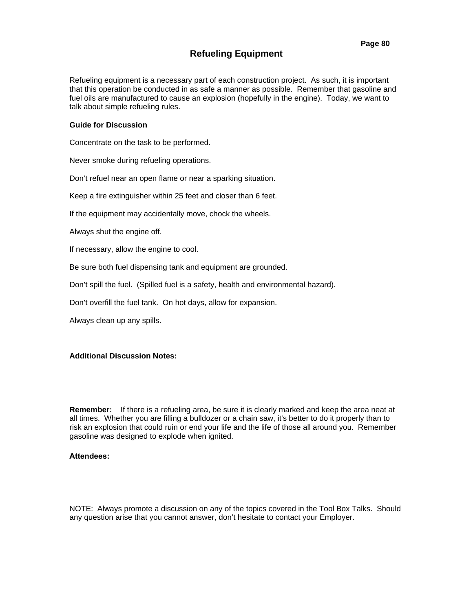# **Refueling Equipment**

Refueling equipment is a necessary part of each construction project. As such, it is important that this operation be conducted in as safe a manner as possible. Remember that gasoline and fuel oils are manufactured to cause an explosion (hopefully in the engine). Today, we want to talk about simple refueling rules.

# **Guide for Discussion**

Concentrate on the task to be performed.

Never smoke during refueling operations.

Don't refuel near an open flame or near a sparking situation.

Keep a fire extinguisher within 25 feet and closer than 6 feet.

If the equipment may accidentally move, chock the wheels.

Always shut the engine off.

If necessary, allow the engine to cool.

Be sure both fuel dispensing tank and equipment are grounded.

Don't spill the fuel. (Spilled fuel is a safety, health and environmental hazard).

Don't overfill the fuel tank. On hot days, allow for expansion.

Always clean up any spills.

# **Additional Discussion Notes:**

**Remember:** If there is a refueling area, be sure it is clearly marked and keep the area neat at all times. Whether you are filling a bulldozer or a chain saw, it's better to do it properly than to risk an explosion that could ruin or end your life and the life of those all around you. Remember gasoline was designed to explode when ignited.

#### **Attendees:**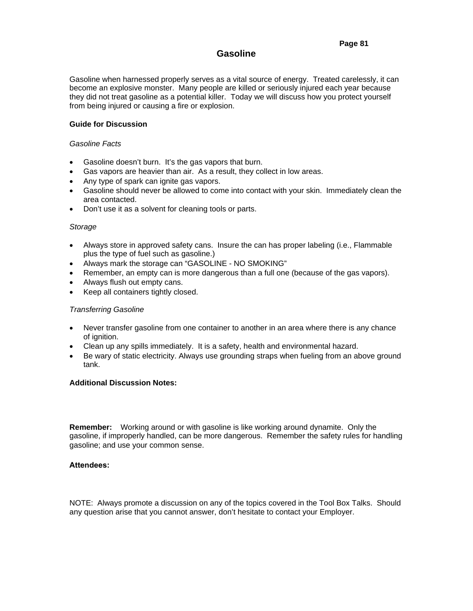# **Gasoline**

Gasoline when harnessed properly serves as a vital source of energy. Treated carelessly, it can become an explosive monster. Many people are killed or seriously injured each year because they did not treat gasoline as a potential killer. Today we will discuss how you protect yourself from being injured or causing a fire or explosion.

# **Guide for Discussion**

# *Gasoline Facts*

- Gasoline doesn't burn. It's the gas vapors that burn.
- Gas vapors are heavier than air. As a result, they collect in low areas.
- Any type of spark can ignite gas vapors.
- Gasoline should never be allowed to come into contact with your skin. Immediately clean the area contacted.
- Don't use it as a solvent for cleaning tools or parts.

#### *Storage*

- Always store in approved safety cans. Insure the can has proper labeling (i.e., Flammable plus the type of fuel such as gasoline.)
- Always mark the storage can "GASOLINE NO SMOKING"
- Remember, an empty can is more dangerous than a full one (because of the gas vapors).
- Always flush out empty cans.
- Keep all containers tightly closed.

# *Transferring Gasoline*

- Never transfer gasoline from one container to another in an area where there is any chance of ianition.
- Clean up any spills immediately. It is a safety, health and environmental hazard.
- Be wary of static electricity. Always use grounding straps when fueling from an above ground tank.

# **Additional Discussion Notes:**

**Remember:** Working around or with gasoline is like working around dynamite. Only the gasoline, if improperly handled, can be more dangerous. Remember the safety rules for handling gasoline; and use your common sense.

# **Attendees:**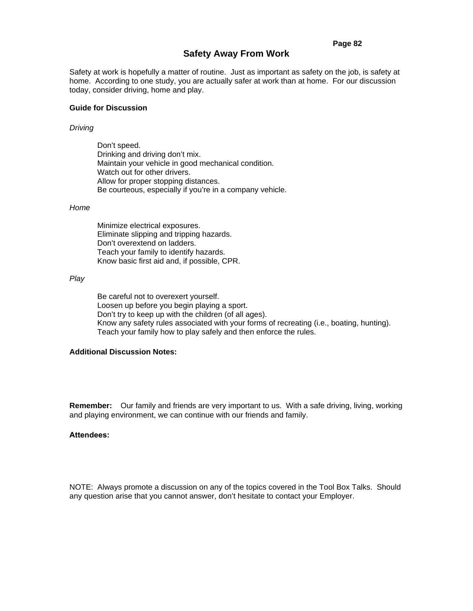#### **Page 82**

# **Safety Away From Work**

Safety at work is hopefully a matter of routine. Just as important as safety on the job, is safety at home. According to one study, you are actually safer at work than at home. For our discussion today, consider driving, home and play.

#### **Guide for Discussion**

#### *Driving*

 Don't speed. Drinking and driving don't mix. Maintain your vehicle in good mechanical condition. Watch out for other drivers. Allow for proper stopping distances. Be courteous, especially if you're in a company vehicle.

#### *Home*

Minimize electrical exposures. Eliminate slipping and tripping hazards. Don't overextend on ladders. Teach your family to identify hazards. Know basic first aid and, if possible, CPR.

#### *Play*

Be careful not to overexert yourself. Loosen up before you begin playing a sport. Don't try to keep up with the children (of all ages). Know any safety rules associated with your forms of recreating (i.e., boating, hunting). Teach your family how to play safely and then enforce the rules.

# **Additional Discussion Notes:**

**Remember:** Our family and friends are very important to us. With a safe driving, living, working and playing environment, we can continue with our friends and family.

#### **Attendees:**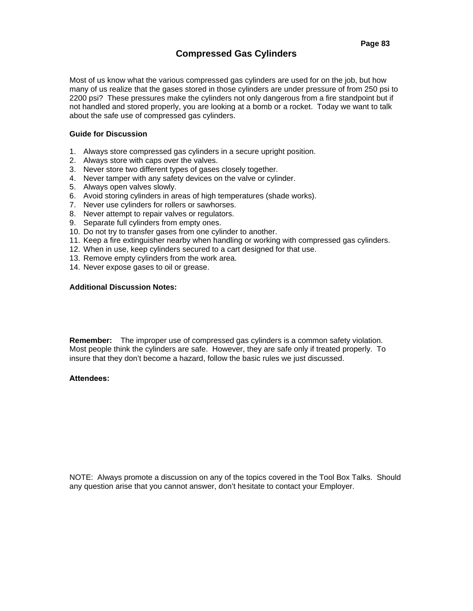# **Compressed Gas Cylinders**

# **Guide for Discussion**

- 1. Always store compressed gas cylinders in a secure upright position.
- 2. Always store with caps over the valves.
- 3. Never store two different types of gases closely together.
- 4. Never tamper with any safety devices on the valve or cylinder.
- 5. Always open valves slowly.
- 6. Avoid storing cylinders in areas of high temperatures (shade works).
- 7. Never use cylinders for rollers or sawhorses.
- 8. Never attempt to repair valves or regulators.
- 9. Separate full cylinders from empty ones.
- 10. Do not try to transfer gases from one cylinder to another.
- 11. Keep a fire extinguisher nearby when handling or working with compressed gas cylinders.
- 12. When in use, keep cylinders secured to a cart designed for that use.
- 13. Remove empty cylinders from the work area.
- 14. Never expose gases to oil or grease.

# **Additional Discussion Notes:**

**Remember:** The improper use of compressed gas cylinders is a common safety violation. Most people think the cylinders are safe. However, they are safe only if treated properly. To insure that they don't become a hazard, follow the basic rules we just discussed.

# **Attendees:**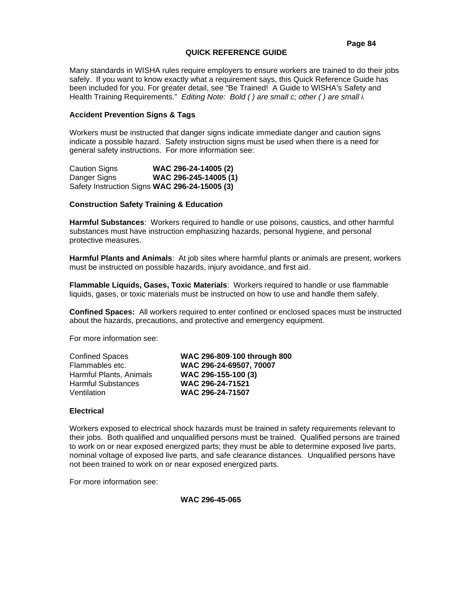# **QUICK REFERENCE GUIDE**

Many standards in WISHA rules require employers to ensure workers are trained to do their jobs safely. If you want to know exactly what a requirement says, this Quick Reference Guide has been included for you. For greater detail, see "Be Trained! A Guide to WISHA's Safety and Health Training Requirements." *Editing Note: Bold ( ) are small c; other ( ) are small i.* 

# **Accident Prevention Signs & Tags**

Workers must be instructed that danger signs indicate immediate danger and caution signs indicate a possible hazard. Safety instruction signs must be used when there is a need for general safety instructions. For more information see:

Caution Signs **WAC 296-24-14005 (2)** Danger Signs **WAC 296-245-14005 (1)** Safety Instruction Signs **WAC 296-24-15005 (3)**

# **Construction Safety Training & Education**

**Harmful Substances**: Workers required to handle or use poisons, caustics, and other harmful substances must have instruction emphasizing hazards, personal hygiene, and personal protective measures.

**Harmful Plants and Animals**: At job sites where harmful plants or animals are present, workers must be instructed on possible hazards, injury avoidance, and first aid.

**Flammable Liquids, Gases, Toxic Materials**: Workers required to handle or use flammable liquids, gases, or toxic materials must be instructed on how to use and handle them safely.

**Confined Spaces:** All workers required to enter confined or enclosed spaces must be instructed about the hazards, precautions, and protective and emergency equipment.

For more information see:

| <b>Confined Spaces</b>    | WAC 296-809-100 through 800 |
|---------------------------|-----------------------------|
| Flammables etc.           | WAC 296-24-69507, 70007     |
| Harmful Plants, Animals   | WAC 296-155-100 (3)         |
| <b>Harmful Substances</b> | WAC 296-24-71521            |
| Ventilation               | WAC 296-24-71507            |

#### **Electrical**

Workers exposed to electrical shock hazards must be trained in safety requirements relevant to their jobs. Both qualified and unqualified persons must be trained. Qualified persons are trained to work on or near exposed energized parts; they must be able to determine exposed live parts, nominal voltage of exposed live parts, and safe clearance distances. Unqualified persons have not been trained to work on or near exposed energized parts.

For more information see:

**WAC 296-45-065**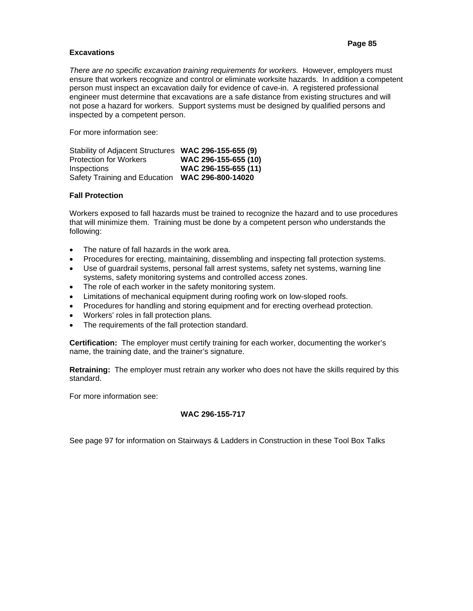# **Page 85**

# **Excavations**

*There are no specific excavation training requirements for workers.* However, employers must ensure that workers recognize and control or eliminate worksite hazards. In addition a competent person must inspect an excavation daily for evidence of cave-in. A registered professional engineer must determine that excavations are a safe distance from existing structures and will not pose a hazard for workers. Support systems must be designed by qualified persons and inspected by a competent person.

For more information see:

| Stability of Adjacent Structures WAC 296-155-655 (9) |                      |
|------------------------------------------------------|----------------------|
| <b>Protection for Workers</b>                        | WAC 296-155-655 (10) |
| <b>Inspections</b>                                   | WAC 296-155-655 (11) |
| Safety Training and Education                        | WAC 296-800-14020    |

# **Fall Protection**

Workers exposed to fall hazards must be trained to recognize the hazard and to use procedures that will minimize them. Training must be done by a competent person who understands the following:

- The nature of fall hazards in the work area.
- Procedures for erecting, maintaining, dissembling and inspecting fall protection systems.
- Use of guardrail systems, personal fall arrest systems, safety net systems, warning line systems, safety monitoring systems and controlled access zones.
- The role of each worker in the safety monitoring system.
- Limitations of mechanical equipment during roofing work on low-sloped roofs.
- Procedures for handling and storing equipment and for erecting overhead protection.
- Workers' roles in fall protection plans.
- The requirements of the fall protection standard.

**Certification:** The employer must certify training for each worker, documenting the worker's name, the training date, and the trainer's signature.

**Retraining:** The employer must retrain any worker who does not have the skills required by this standard.

For more information see:

# **WAC 296-155-717**

See page 97 for information on Stairways & Ladders in Construction in these Tool Box Talks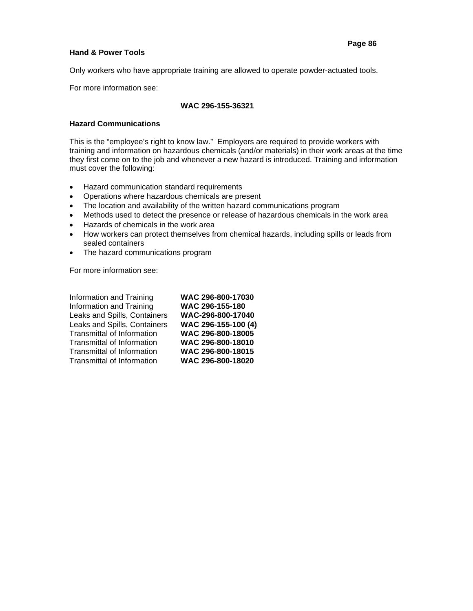# **Hand & Power Tools**

Only workers who have appropriate training are allowed to operate powder-actuated tools.

For more information see:

# **WAC 296-155-36321**

# **Hazard Communications**

This is the "employee's right to know law." Employers are required to provide workers with training and information on hazardous chemicals (and/or materials) in their work areas at the time they first come on to the job and whenever a new hazard is introduced. Training and information must cover the following:

- Hazard communication standard requirements
- Operations where hazardous chemicals are present
- The location and availability of the written hazard communications program
- Methods used to detect the presence or release of hazardous chemicals in the work area
- Hazards of chemicals in the work area
- How workers can protect themselves from chemical hazards, including spills or leads from sealed containers
- The hazard communications program

For more information see:

| Information and Training          | WAC 296-800-17030   |
|-----------------------------------|---------------------|
| Information and Training          | WAC 296-155-180     |
| Leaks and Spills, Containers      | WAC-296-800-17040   |
| Leaks and Spills, Containers      | WAC 296-155-100 (4) |
| <b>Transmittal of Information</b> | WAC 296-800-18005   |
| Transmittal of Information        | WAC 296-800-18010   |
| Transmittal of Information        | WAC 296-800-18015   |
| <b>Transmittal of Information</b> | WAC 296-800-18020   |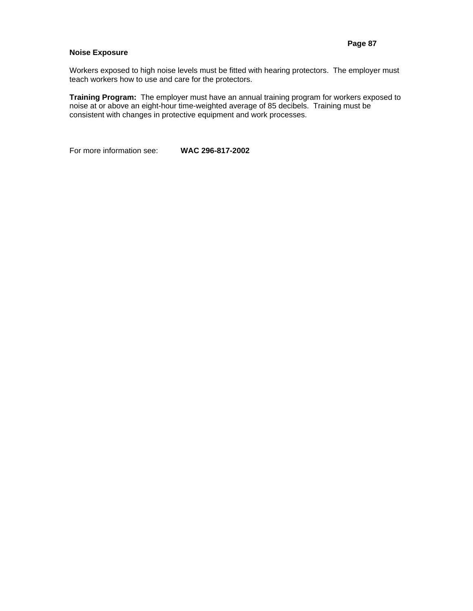# **Noise Exposure**

Workers exposed to high noise levels must be fitted with hearing protectors. The employer must teach workers how to use and care for the protectors.

**Training Program:** The employer must have an annual training program for workers exposed to noise at or above an eight-hour time-weighted average of 85 decibels. Training must be consistent with changes in protective equipment and work processes.

For more information see: **WAC 296-817-2002**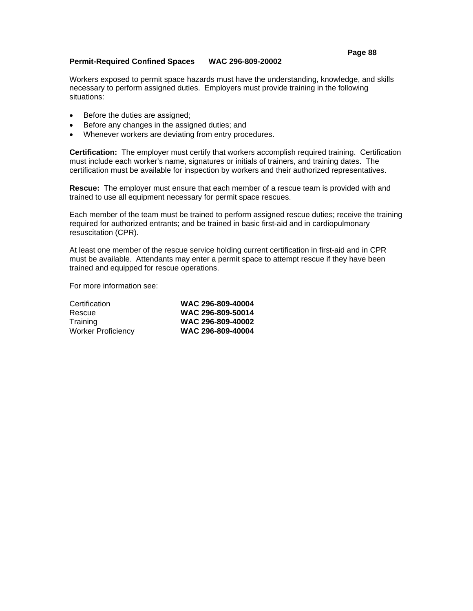# **Permit-Required Confined Spaces WAC 296-809-20002**

Workers exposed to permit space hazards must have the understanding, knowledge, and skills necessary to perform assigned duties. Employers must provide training in the following situations:

- Before the duties are assigned;
- Before any changes in the assigned duties; and
- Whenever workers are deviating from entry procedures.

**Certification:** The employer must certify that workers accomplish required training. Certification must include each worker's name, signatures or initials of trainers, and training dates. The certification must be available for inspection by workers and their authorized representatives.

**Rescue:** The employer must ensure that each member of a rescue team is provided with and trained to use all equipment necessary for permit space rescues.

Each member of the team must be trained to perform assigned rescue duties; receive the training required for authorized entrants; and be trained in basic first-aid and in cardiopulmonary resuscitation (CPR).

At least one member of the rescue service holding current certification in first-aid and in CPR must be available. Attendants may enter a permit space to attempt rescue if they have been trained and equipped for rescue operations.

For more information see:

| Certification             | WAC 296-809-40004 |
|---------------------------|-------------------|
| Rescue                    | WAC 296-809-50014 |
| Training                  | WAC 296-809-40002 |
| <b>Worker Proficiency</b> | WAC 296-809-40004 |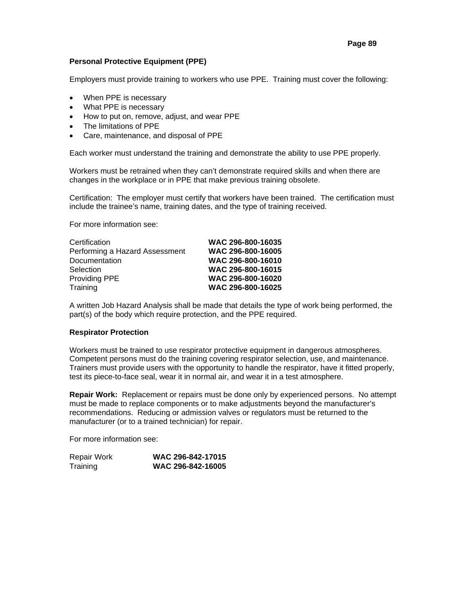# **Personal Protective Equipment (PPE)**

Employers must provide training to workers who use PPE. Training must cover the following:

- When PPE is necessary
- What PPE is necessary
- How to put on, remove, adjust, and wear PPE
- The limitations of PPE
- Care, maintenance, and disposal of PPE

Each worker must understand the training and demonstrate the ability to use PPE properly.

Workers must be retrained when they can't demonstrate required skills and when there are changes in the workplace or in PPE that make previous training obsolete.

Certification: The employer must certify that workers have been trained. The certification must include the trainee's name, training dates, and the type of training received.

For more information see:

| Certification                  | WAC 296-800-16035 |
|--------------------------------|-------------------|
| Performing a Hazard Assessment | WAC 296-800-16005 |
| Documentation                  | WAC 296-800-16010 |
| Selection                      | WAC 296-800-16015 |
| Providing PPE                  | WAC 296-800-16020 |
| Training                       | WAC 296-800-16025 |
|                                |                   |

A written Job Hazard Analysis shall be made that details the type of work being performed, the part(s) of the body which require protection, and the PPE required.

# **Respirator Protection**

Workers must be trained to use respirator protective equipment in dangerous atmospheres. Competent persons must do the training covering respirator selection, use, and maintenance. Trainers must provide users with the opportunity to handle the respirator, have it fitted properly, test its piece-to-face seal, wear it in normal air, and wear it in a test atmosphere.

**Repair Work:** Replacement or repairs must be done only by experienced persons. No attempt must be made to replace components or to make adjustments beyond the manufacturer's recommendations. Reducing or admission valves or regulators must be returned to the manufacturer (or to a trained technician) for repair.

For more information see:

| Repair Work | WAC 296-842-17015 |
|-------------|-------------------|
| Training    | WAC 296-842-16005 |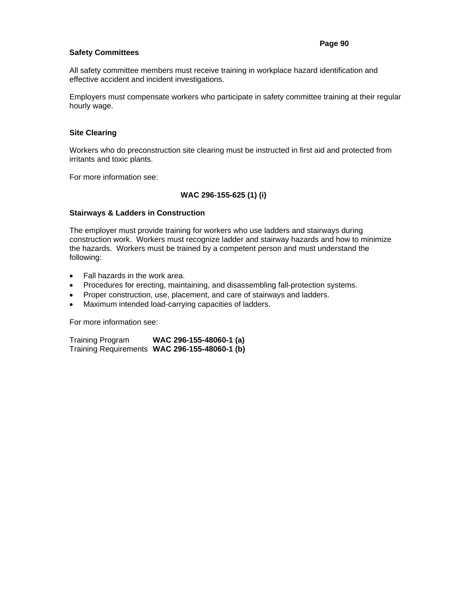# **Safety Committees**

All safety committee members must receive training in workplace hazard identification and effective accident and incident investigations.

Employers must compensate workers who participate in safety committee training at their regular hourly wage.

# **Site Clearing**

Workers who do preconstruction site clearing must be instructed in first aid and protected from irritants and toxic plants.

For more information see:

# **WAC 296-155-625 (1) (i)**

# **Stairways & Ladders in Construction**

The employer must provide training for workers who use ladders and stairways during construction work. Workers must recognize ladder and stairway hazards and how to minimize the hazards. Workers must be trained by a competent person and must understand the following:

- Fall hazards in the work area.
- Procedures for erecting, maintaining, and disassembling fall-protection systems.
- Proper construction, use, placement, and care of stairways and ladders.
- Maximum intended load-carrying capacities of ladders.

For more information see:

Training Program **WAC 296-155-48060-1 (a)** Training Requirements **WAC 296-155-48060-1 (b)**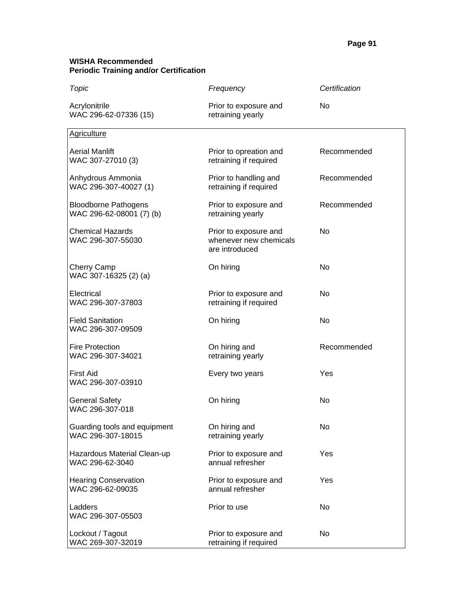# **WISHA Recommended Periodic Training and/or Certification**

| Topic                                                   | Frequency                                                         | Certification |
|---------------------------------------------------------|-------------------------------------------------------------------|---------------|
| Acrylonitrile<br>WAC 296-62-07336 (15)                  | Prior to exposure and<br>retraining yearly                        | No            |
| <b>Agriculture</b>                                      |                                                                   |               |
| <b>Aerial Manlift</b><br>WAC 307-27010 (3)              | Prior to opreation and<br>retraining if required                  | Recommended   |
| Anhydrous Ammonia<br>WAC 296-307-40027 (1)              | Prior to handling and<br>retraining if required                   | Recommended   |
| <b>Bloodborne Pathogens</b><br>WAC 296-62-08001 (7) (b) | Prior to exposure and<br>retraining yearly                        | Recommended   |
| <b>Chemical Hazards</b><br>WAC 296-307-55030            | Prior to exposure and<br>whenever new chemicals<br>are introduced | No            |
| Cherry Camp<br>WAC 307-16325 (2) (a)                    | On hiring                                                         | No            |
| Electrical<br>WAC 296-307-37803                         | Prior to exposure and<br>retraining if required                   | <b>No</b>     |
| <b>Field Sanitation</b><br>WAC 296-307-09509            | On hiring                                                         | No            |
| <b>Fire Protection</b><br>WAC 296-307-34021             | On hiring and<br>retraining yearly                                | Recommended   |
| <b>First Aid</b><br>WAC 296-307-03910                   | Every two years                                                   | Yes           |
| <b>General Safety</b><br>WAC 296-307-018                | On hiring                                                         | No            |
| Guarding tools and equipment<br>WAC 296-307-18015       | On hiring and<br>retraining yearly                                | No            |
| Hazardous Material Clean-up<br>WAC 296-62-3040          | Prior to exposure and<br>annual refresher                         | Yes           |
| <b>Hearing Conservation</b><br>WAC 296-62-09035         | Prior to exposure and<br>annual refresher                         | Yes           |
| Ladders<br>WAC 296-307-05503                            | Prior to use                                                      | No            |
| Lockout / Tagout<br>WAC 269-307-32019                   | Prior to exposure and<br>retraining if required                   | No            |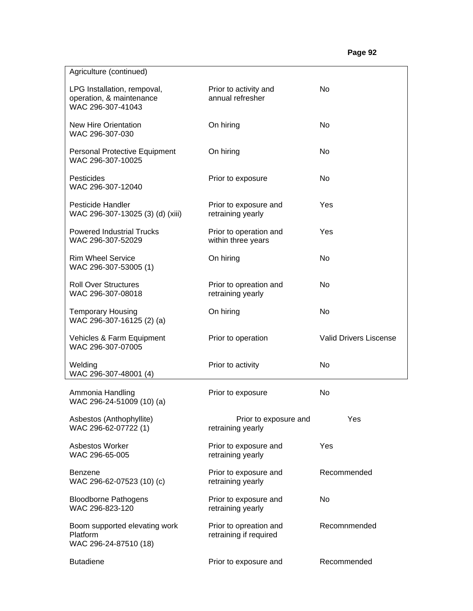| Agriculture (continued)                                                      |                                                  |                               |
|------------------------------------------------------------------------------|--------------------------------------------------|-------------------------------|
| LPG Installation, rempoval,<br>operation, & maintenance<br>WAC 296-307-41043 | Prior to activity and<br>annual refresher        | <b>No</b>                     |
| <b>New Hire Orientation</b><br>WAC 296-307-030                               | On hiring                                        | N <sub>0</sub>                |
| Personal Protective Equipment<br>WAC 296-307-10025                           | On hiring                                        | <b>No</b>                     |
| Pesticides<br>WAC 296-307-12040                                              | Prior to exposure                                | No.                           |
| Pesticide Handler<br>WAC 296-307-13025 (3) (d) (xiii)                        | Prior to exposure and<br>retraining yearly       | Yes                           |
| <b>Powered Industrial Trucks</b><br>WAC 296-307-52029                        | Prior to operation and<br>within three years     | Yes                           |
| <b>Rim Wheel Service</b><br>WAC 296-307-53005 (1)                            | On hiring                                        | N <sub>0</sub>                |
| <b>Roll Over Structures</b><br>WAC 296-307-08018                             | Prior to opreation and<br>retraining yearly      | N <sub>0</sub>                |
| <b>Temporary Housing</b><br>WAC 296-307-16125 (2) (a)                        | On hiring                                        | No                            |
| Vehicles & Farm Equipment<br>WAC 296-307-07005                               | Prior to operation                               | <b>Valid Drivers Liscense</b> |
| Welding<br>WAC 296-307-48001 (4)                                             | Prior to activity                                | No.                           |
| Ammonia Handling<br>WAC 296-24-51009 (10) (a)                                | Prior to exposure                                | No                            |
| Asbestos (Anthophyllite)<br>WAC 296-62-07722 (1)                             | Prior to exposure and<br>retraining yearly       | Yes                           |
| <b>Asbestos Worker</b><br>WAC 296-65-005                                     | Prior to exposure and<br>retraining yearly       | Yes                           |
| <b>Benzene</b><br>WAC 296-62-07523 (10) (c)                                  | Prior to exposure and<br>retraining yearly       | Recommended                   |
| <b>Bloodborne Pathogens</b><br>WAC 296-823-120                               | Prior to exposure and<br>retraining yearly       | No                            |
| Boom supported elevating work<br>Platform<br>WAC 296-24-87510 (18)           | Prior to opreation and<br>retraining if required | Recomnmended                  |
| <b>Butadiene</b>                                                             | Prior to exposure and                            | Recommended                   |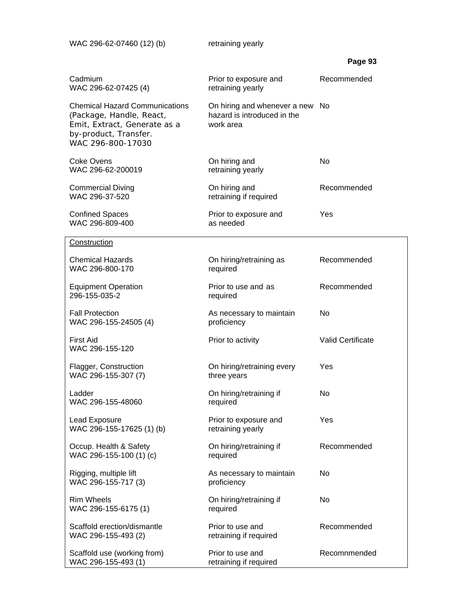| WAC 296-62-07460 (12) (b)                                                                                                                       | retraining yearly                                                           |                          |
|-------------------------------------------------------------------------------------------------------------------------------------------------|-----------------------------------------------------------------------------|--------------------------|
|                                                                                                                                                 |                                                                             | Page 93                  |
| Cadmium<br>WAC 296-62-07425 (4)                                                                                                                 | Prior to exposure and<br>retraining yearly                                  | Recommended              |
| <b>Chemical Hazard Communications</b><br>(Package, Handle, React,<br>Emit, Extract, Generate as a<br>by-product, Transfer.<br>WAC 296-800-17030 | On hiring and whenever a new No<br>hazard is introduced in the<br>work area |                          |
| <b>Coke Ovens</b><br>WAC 296-62-200019                                                                                                          | On hiring and<br>retraining yearly                                          | No                       |
| <b>Commercial Diving</b><br>WAC 296-37-520                                                                                                      | On hiring and<br>retraining if required                                     | Recommended              |
| <b>Confined Spaces</b><br>WAC 296-809-400                                                                                                       | Prior to exposure and<br>as needed                                          | Yes                      |
| Construction                                                                                                                                    |                                                                             |                          |
| <b>Chemical Hazards</b><br>WAC 296-800-170                                                                                                      | On hiring/retraining as<br>required                                         | Recommended              |
| <b>Equipment Operation</b><br>296-155-035-2                                                                                                     | Prior to use and as<br>required                                             | Recommended              |
| <b>Fall Protection</b><br>WAC 296-155-24505 (4)                                                                                                 | As necessary to maintain<br>proficiency                                     | No                       |
| First Aid<br>WAC 296-155-120                                                                                                                    | Prior to activity                                                           | <b>Valid Certificate</b> |
| Flagger, Construction<br>WAC 296-155-307 (7)                                                                                                    | On hiring/retraining every<br>three years                                   | Yes                      |
| Ladder<br>WAC 296-155-48060                                                                                                                     | On hiring/retraining if<br>required                                         | No                       |
| Lead Exposure<br>WAC 296-155-17625 (1) (b)                                                                                                      | Prior to exposure and<br>retraining yearly                                  | Yes                      |
| Occup. Health & Safety<br>WAC 296-155-100 (1) (c)                                                                                               | On hiring/retraining if<br>required                                         | Recommended              |
| Rigging, multiple lift<br>WAC 296-155-717 (3)                                                                                                   | As necessary to maintain<br>proficiency                                     | No                       |
| <b>Rim Wheels</b><br>WAC 296-155-6175 (1)                                                                                                       | On hiring/retraining if<br>required                                         | No                       |
| Scaffold erection/dismantle<br>WAC 296-155-493 (2)                                                                                              | Prior to use and<br>retraining if required                                  | Recommended              |
| Scaffold use (working from)<br>WAC 296-155-493 (1)                                                                                              | Prior to use and<br>retraining if required                                  | Recomnmended             |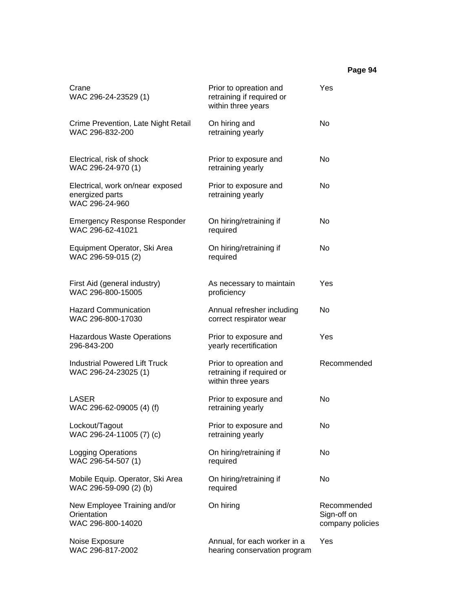# **Page 94**

| Crane<br>WAC 296-24-23529 (1)                                         | Prior to opreation and<br>retraining if required or<br>within three years | Yes                                            |
|-----------------------------------------------------------------------|---------------------------------------------------------------------------|------------------------------------------------|
| Crime Prevention, Late Night Retail<br>WAC 296-832-200                | On hiring and<br>retraining yearly                                        | No                                             |
| Electrical, risk of shock<br>WAC 296-24-970 (1)                       | Prior to exposure and<br>retraining yearly                                | No                                             |
| Electrical, work on/near exposed<br>energized parts<br>WAC 296-24-960 | Prior to exposure and<br>retraining yearly                                | <b>No</b>                                      |
| <b>Emergency Response Responder</b><br>WAC 296-62-41021               | On hiring/retraining if<br>required                                       | No                                             |
| Equipment Operator, Ski Area<br>WAC 296-59-015 (2)                    | On hiring/retraining if<br>required                                       | No                                             |
| First Aid (general industry)<br>WAC 296-800-15005                     | As necessary to maintain<br>proficiency                                   | Yes                                            |
| <b>Hazard Communication</b><br>WAC 296-800-17030                      | Annual refresher including<br>correct respirator wear                     | No                                             |
| <b>Hazardous Waste Operations</b><br>296-843-200                      | Prior to exposure and<br>yearly recertification                           | Yes                                            |
| <b>Industrial Powered Lift Truck</b><br>WAC 296-24-23025 (1)          | Prior to opreation and<br>retraining if required or<br>within three years | Recommended                                    |
| LASER<br>WAC 296-62-09005 (4) (f)                                     | Prior to exposure and<br>retraining yearly                                | No                                             |
| Lockout/Tagout<br>WAC 296-24-11005 (7) (c)                            | Prior to exposure and<br>retraining yearly                                | No                                             |
| Logging Operations<br>WAC 296-54-507 (1)                              | On hiring/retraining if<br>required                                       | No                                             |
| Mobile Equip. Operator, Ski Area<br>WAC 296-59-090 (2) (b)            | On hiring/retraining if<br>required                                       | No                                             |
| New Employee Training and/or<br>Orientation<br>WAC 296-800-14020      | On hiring                                                                 | Recommended<br>Sign-off on<br>company policies |
| Noise Exposure<br>WAC 296-817-2002                                    | Annual, for each worker in a<br>hearing conservation program              | Yes                                            |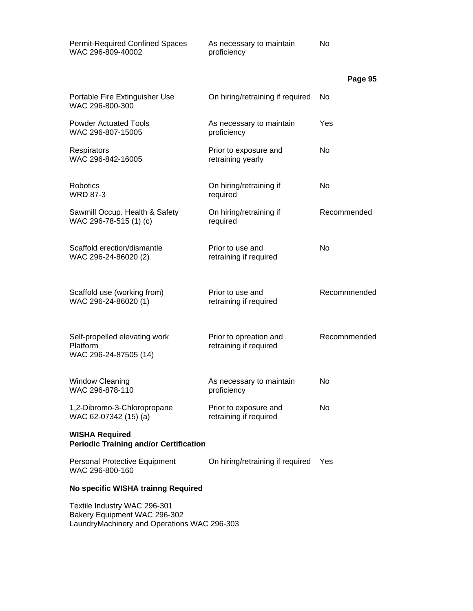| <b>Permit-Required Confined Spaces</b><br>WAC 296-809-40002            | As necessary to maintain<br>proficiency          | No             |
|------------------------------------------------------------------------|--------------------------------------------------|----------------|
|                                                                        |                                                  | Page 95        |
| Portable Fire Extinguisher Use<br>WAC 296-800-300                      | On hiring/retraining if required                 | No.            |
| <b>Powder Actuated Tools</b><br>WAC 296-807-15005                      | As necessary to maintain<br>proficiency          | Yes            |
| Respirators<br>WAC 296-842-16005                                       | Prior to exposure and<br>retraining yearly       | No             |
| <b>Robotics</b><br><b>WRD 87-3</b>                                     | On hiring/retraining if<br>required              | No             |
| Sawmill Occup. Health & Safety<br>WAC 296-78-515 (1) (c)               | On hiring/retraining if<br>required              | Recommended    |
| Scaffold erection/dismantle<br>WAC 296-24-86020 (2)                    | Prior to use and<br>retraining if required       | N <sub>0</sub> |
| Scaffold use (working from)<br>WAC 296-24-86020 (1)                    | Prior to use and<br>retraining if required       | Recomnmended   |
| Self-propelled elevating work<br>Platform<br>WAC 296-24-87505 (14)     | Prior to opreation and<br>retraining if required | Recomnmended   |
| <b>Window Cleaning</b><br>WAC 296-878-110                              | As necessary to maintain<br>proficiency          | No             |
| 1,2-Dibromo-3-Chloropropane<br>WAC 62-07342 (15) (a)                   | Prior to exposure and<br>retraining if required  | No             |
| <b>WISHA Required</b><br><b>Periodic Training and/or Certification</b> |                                                  |                |
| Personal Protective Equipment<br>WAC 296-800-160                       | On hiring/retraining if required                 | Yes            |
| No specific WISHA trainng Required                                     |                                                  |                |
| Textile Industry WAC 296-301                                           |                                                  |                |

Bakery Equipment WAC 296-302 LaundryMachinery and Operations WAC 296-303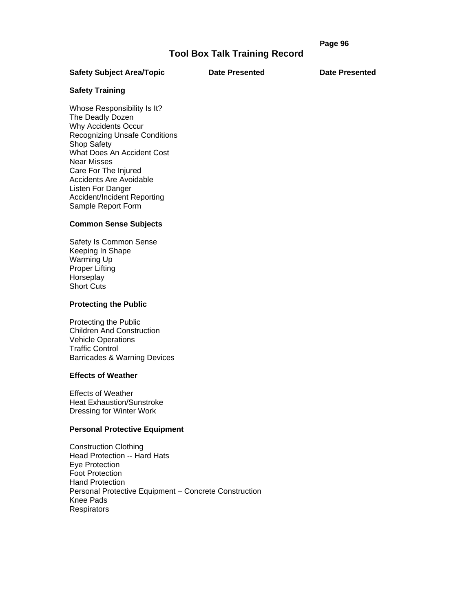# **Page 96 Page 96**

# **Tool Box Talk Training Record**

#### Safety Subject Area/Topic **Date Presented** Date Presented

# **Safety Training**

Whose Responsibility Is It? The Deadly Dozen Why Accidents Occur Recognizing Unsafe Conditions Shop Safety What Does An Accident Cost Near Misses Care For The Injured Accidents Are Avoidable Listen For Danger Accident/Incident Reporting Sample Report Form

#### **Common Sense Subjects**

Safety Is Common Sense Keeping In Shape Warming Up Proper Lifting **Horseplay** Short Cuts

#### **Protecting the Public**

Protecting the Public Children And Construction Vehicle Operations Traffic Control Barricades & Warning Devices

#### **Effects of Weather**

Effects of Weather Heat Exhaustion/Sunstroke Dressing for Winter Work

# **Personal Protective Equipment**

Construction Clothing Head Protection -- Hard Hats Eye Protection Foot Protection Hand Protection Personal Protective Equipment – Concrete Construction Knee Pads Respirators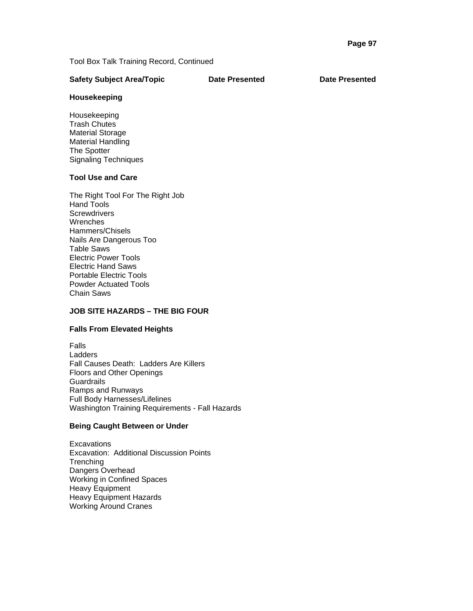| <b>Safety Subject Area/Topic</b> | <b>Date Presented</b> | <b>Date Presented</b> |
|----------------------------------|-----------------------|-----------------------|
|                                  |                       |                       |

# **Housekeeping**

Housekeeping Trash Chutes Material Storage Material Handling The Spotter Signaling Techniques

# **Tool Use and Care**

The Right Tool For The Right Job Hand Tools **Screwdrivers Wrenches** Hammers/Chisels Nails Are Dangerous Too Table Saws Electric Power Tools Electric Hand Saws Portable Electric Tools Powder Actuated Tools Chain Saws

# **JOB SITE HAZARDS – THE BIG FOUR**

# **Falls From Elevated Heights**

Falls **Ladders** Fall Causes Death: Ladders Are Killers Floors and Other Openings **Guardrails** Ramps and Runways Full Body Harnesses/Lifelines Washington Training Requirements - Fall Hazards

# **Being Caught Between or Under**

**Excavations** Excavation: Additional Discussion Points **Trenching** Dangers Overhead Working in Confined Spaces Heavy Equipment Heavy Equipment Hazards Working Around Cranes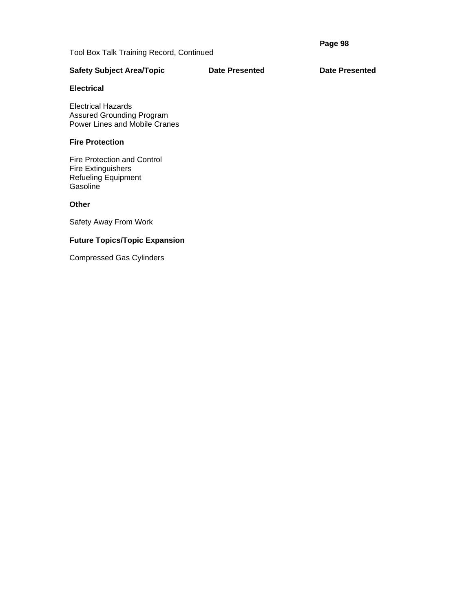**Page 98** 

Tool Box Talk Training Record, Continued

# Safety Subject Area/Topic **Date Presented** Date Presented

# **Electrical**

Electrical Hazards Assured Grounding Program Power Lines and Mobile Cranes

# **Fire Protection**

Fire Protection and Control Fire Extinguishers Refueling Equipment **Gasoline** 

# **Other**

Safety Away From Work

# **Future Topics/Topic Expansion**

Compressed Gas Cylinders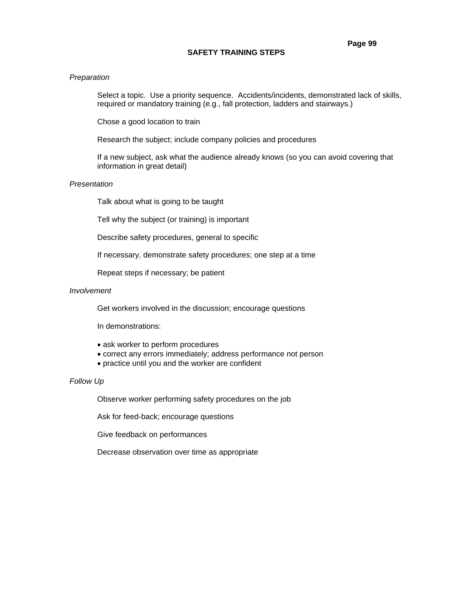# **SAFETY TRAINING STEPS**

### *Preparation*

Select a topic. Use a priority sequence. Accidents/incidents, demonstrated lack of skills, required or mandatory training (e.g., fall protection, ladders and stairways.)

Chose a good location to train

Research the subject; include company policies and procedures

If a new subject, ask what the audience already knows (so you can avoid covering that information in great detail)

### *Presentation*

Talk about what is going to be taught

Tell why the subject (or training) is important

Describe safety procedures, general to specific

If necessary, demonstrate safety procedures; one step at a time

Repeat steps if necessary; be patient

#### *Involvement*

Get workers involved in the discussion; encourage questions

In demonstrations:

- ask worker to perform procedures
- correct any errors immediately; address performance not person
- practice until you and the worker are confident

# *Follow Up*

Observe worker performing safety procedures on the job

Ask for feed-back; encourage questions

Give feedback on performances

Decrease observation over time as appropriate